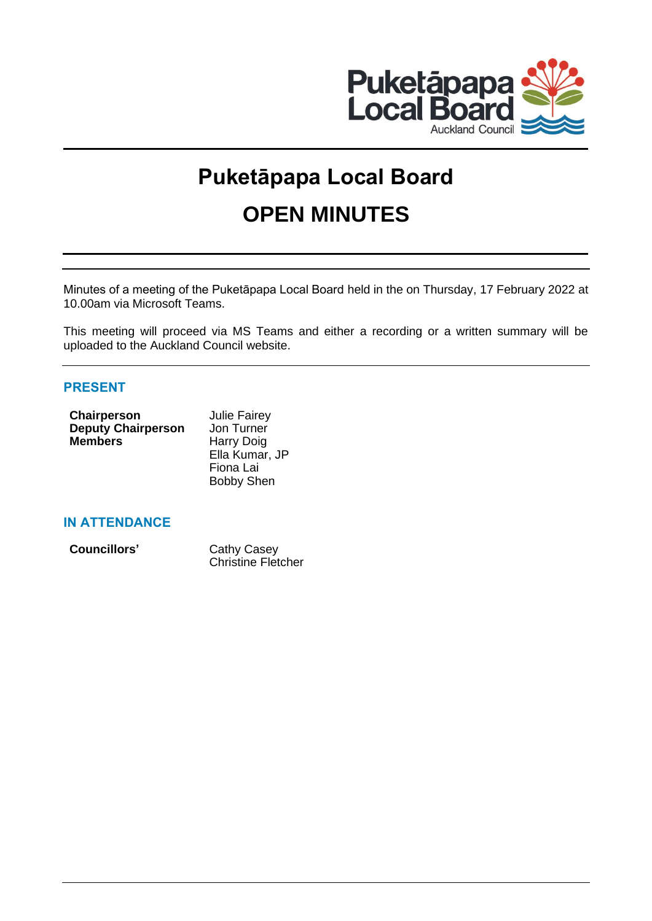

# **Puketāpapa Local Board OPEN MINUTES**

Minutes of a meeting of the Puketāpapa Local Board held in the on Thursday, 17 February 2022 at 10.00am via Microsoft Teams.

This meeting will proceed via MS Teams and either a recording or a written summary will be uploaded to the Auckland Council website.

# **PRESENT**

| Chairperson               | <b>Julie Fairey</b> |
|---------------------------|---------------------|
| <b>Deputy Chairperson</b> | Jon Turner          |
| <b>Members</b>            | Harry Doig          |
|                           | Ella Kumar, JP      |
|                           | Fiona Lai           |
|                           | <b>Bobby Shen</b>   |

## **IN ATTENDANCE**

| Councillors' | Cathy Casey               |
|--------------|---------------------------|
|              | <b>Christine Fletcher</b> |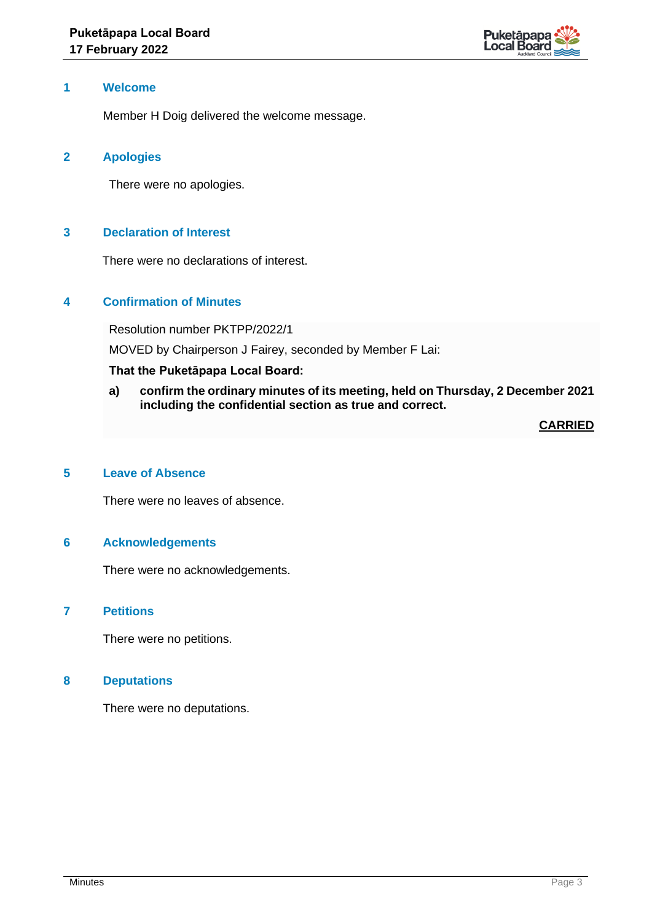

#### **1 Welcome**

Member H Doig delivered the welcome message.

## **2 Apologies**

There were no apologies.

## **3 Declaration of Interest**

There were no declarations of interest.

## **4 Confirmation of Minutes**

Resolution number PKTPP/2022/1

MOVED by Chairperson J Fairey, seconded by Member F Lai:

## **That the Puketāpapa Local Board:**

**a) confirm the ordinary minutes of its meeting, held on Thursday, 2 December 2021 including the confidential section as true and correct.**

**CARRIED**

## **5 Leave of Absence**

There were no leaves of absence.

#### **6 Acknowledgements**

There were no acknowledgements.

#### **7 Petitions**

There were no petitions.

#### **8 Deputations**

There were no deputations.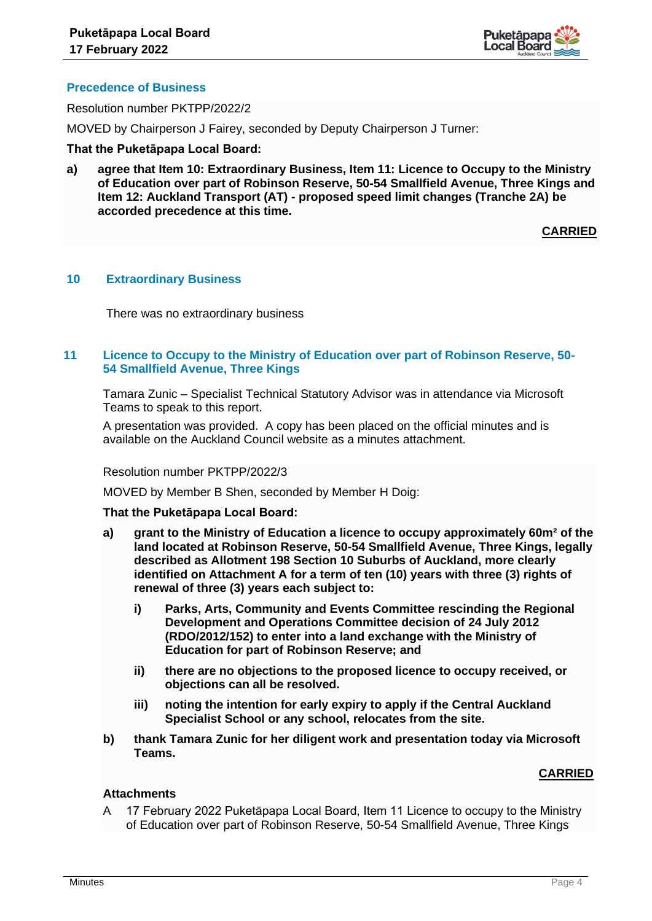

## **Precedence of Business**

Resolution number PKTPP/2022/2

MOVED by Chairperson J Fairey, seconded by Deputy Chairperson J Turner:

#### **That the Puketāpapa Local Board:**

**a) agree that Item 10: Extraordinary Business, Item 11: Licence to Occupy to the Ministry of Education over part of Robinson Reserve, 50-54 Smallfield Avenue, Three Kings and Item 12: Auckland Transport (AT) - proposed speed limit changes (Tranche 2A) be accorded precedence at this time.**

**CARRIED**

#### **10 Extraordinary Business**

There was no extraordinary business

## **11 Licence to Occupy to the Ministry of Education over part of Robinson Reserve, 50- 54 Smallfield Avenue, Three Kings**

Tamara Zunic – Specialist Technical Statutory Advisor was in attendance via Microsoft Teams to speak to this report.

A presentation was provided. A copy has been placed on the official minutes and is available on the Auckland Council website as a minutes attachment.

#### Resolution number PKTPP/2022/3

MOVED by Member B Shen, seconded by Member H Doig:

#### **That the Puketāpapa Local Board:**

- **a) grant to the Ministry of Education a licence to occupy approximately 60m² of the land located at Robinson Reserve, 50-54 Smallfield Avenue, Three Kings, legally described as Allotment 198 Section 10 Suburbs of Auckland, more clearly identified on Attachment A for a term of ten (10) years with three (3) rights of renewal of three (3) years each subject to:**
	- **i) Parks, Arts, Community and Events Committee rescinding the Regional Development and Operations Committee decision of 24 July 2012 (RDO/2012/152) to enter into a land exchange with the Ministry of Education for part of Robinson Reserve; and**
	- **ii) there are no objections to the proposed licence to occupy received, or objections can all be resolved.**
	- **iii) noting the intention for early expiry to apply if the Central Auckland Specialist School or any school, relocates from the site.**
- **b) thank Tamara Zunic for her diligent work and presentation today via Microsoft Teams.**

#### **CARRIED**

## **Attachments**

A 17 February 2022 Puketāpapa Local Board, Item 11 Licence to occupy to the Ministry of Education over part of Robinson Reserve, 50-54 Smallfield Avenue, Three Kings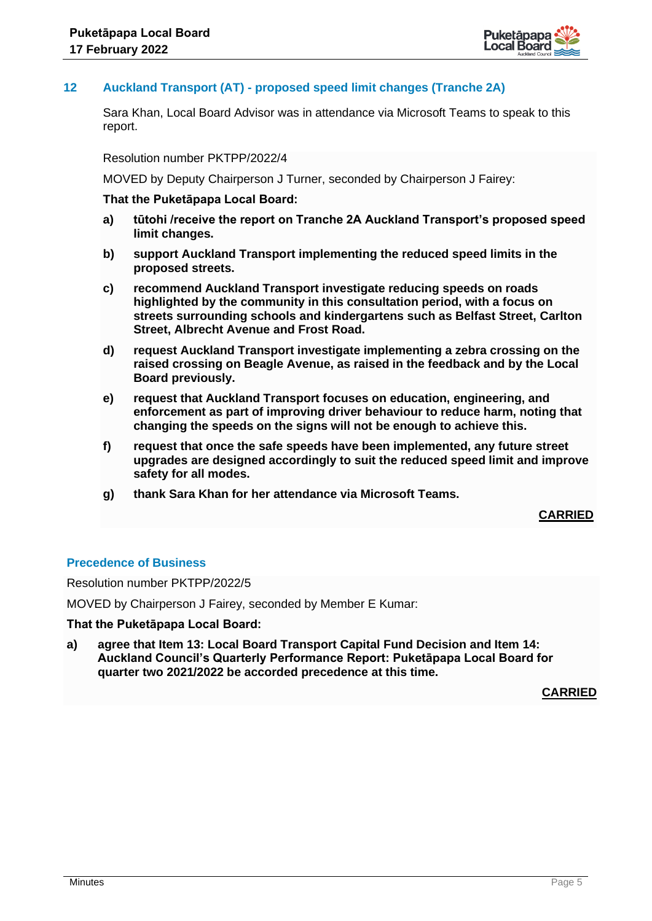

## **12 Auckland Transport (AT) - proposed speed limit changes (Tranche 2A)**

Sara Khan, Local Board Advisor was in attendance via Microsoft Teams to speak to this report.

Resolution number PKTPP/2022/4

MOVED by Deputy Chairperson J Turner, seconded by Chairperson J Fairey:

## **That the Puketāpapa Local Board:**

- **a) tūtohi /receive the report on Tranche 2A Auckland Transport's proposed speed limit changes.**
- **b) support Auckland Transport implementing the reduced speed limits in the proposed streets.**
- **c) recommend Auckland Transport investigate reducing speeds on roads highlighted by the community in this consultation period, with a focus on streets surrounding schools and kindergartens such as Belfast Street, Carlton Street, Albrecht Avenue and Frost Road.**
- **d) request Auckland Transport investigate implementing a zebra crossing on the raised crossing on Beagle Avenue, as raised in the feedback and by the Local Board previously.**
- **e) request that Auckland Transport focuses on education, engineering, and enforcement as part of improving driver behaviour to reduce harm, noting that changing the speeds on the signs will not be enough to achieve this.**
- **f) request that once the safe speeds have been implemented, any future street upgrades are designed accordingly to suit the reduced speed limit and improve safety for all modes.**
- **g) thank Sara Khan for her attendance via Microsoft Teams.**

## **CARRIED**

#### **Precedence of Business**

Resolution number PKTPP/2022/5

MOVED by Chairperson J Fairey, seconded by Member E Kumar:

#### **That the Puketāpapa Local Board:**

**a) agree that Item 13: Local Board Transport Capital Fund Decision and Item 14: Auckland Council's Quarterly Performance Report: Puketāpapa Local Board for quarter two 2021/2022 be accorded precedence at this time.**

**CARRIED**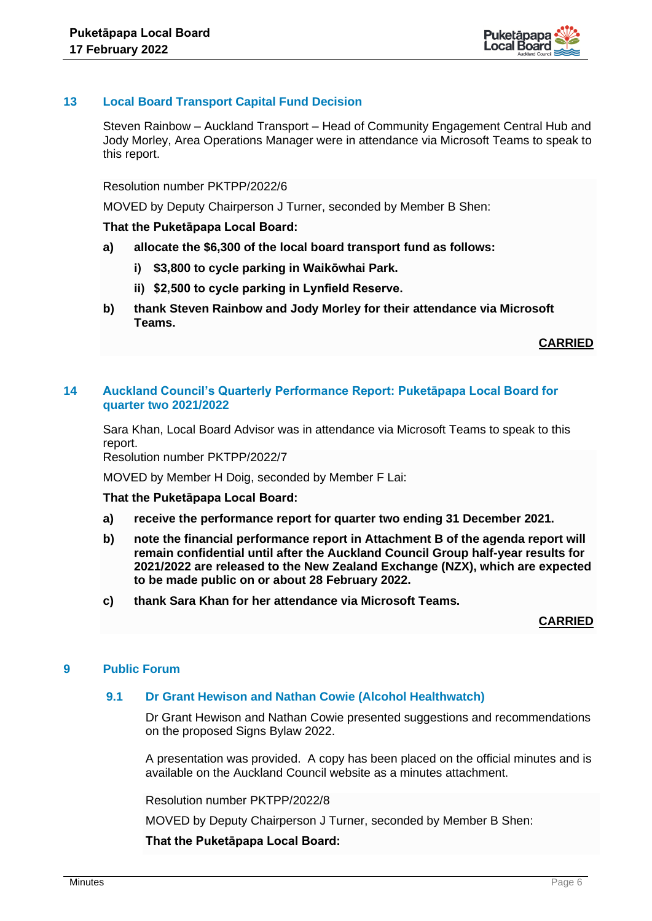

## **13 Local Board Transport Capital Fund Decision**

Steven Rainbow – Auckland Transport – Head of Community Engagement Central Hub and Jody Morley, Area Operations Manager were in attendance via Microsoft Teams to speak to this report.

Resolution number PKTPP/2022/6

MOVED by Deputy Chairperson J Turner, seconded by Member B Shen:

#### **That the Puketāpapa Local Board:**

- **a) allocate the \$6,300 of the local board transport fund as follows:**
	- **i) \$3,800 to cycle parking in Waikōwhai Park.**
	- **ii) \$2,500 to cycle parking in Lynfield Reserve.**
- **b) thank Steven Rainbow and Jody Morley for their attendance via Microsoft Teams.**

**CARRIED**

## **14 Auckland Council's Quarterly Performance Report: Puketāpapa Local Board for quarter two 2021/2022**

Sara Khan, Local Board Advisor was in attendance via Microsoft Teams to speak to this report.

Resolution number PKTPP/2022/7

MOVED by Member H Doig, seconded by Member F Lai:

#### **That the Puketāpapa Local Board:**

- **a) receive the performance report for quarter two ending 31 December 2021.**
- **b) note the financial performance report in Attachment B of the agenda report will remain confidential until after the Auckland Council Group half-year results for 2021/2022 are released to the New Zealand Exchange (NZX), which are expected to be made public on or about 28 February 2022.**
- **c) thank Sara Khan for her attendance via Microsoft Teams.**

**CARRIED**

## **9 Public Forum**

#### **9.1 Dr Grant Hewison and Nathan Cowie (Alcohol Healthwatch)**

Dr Grant Hewison and Nathan Cowie presented suggestions and recommendations on the proposed Signs Bylaw 2022.

A presentation was provided. A copy has been placed on the official minutes and is available on the Auckland Council website as a minutes attachment.

Resolution number PKTPP/2022/8

MOVED by Deputy Chairperson J Turner, seconded by Member B Shen: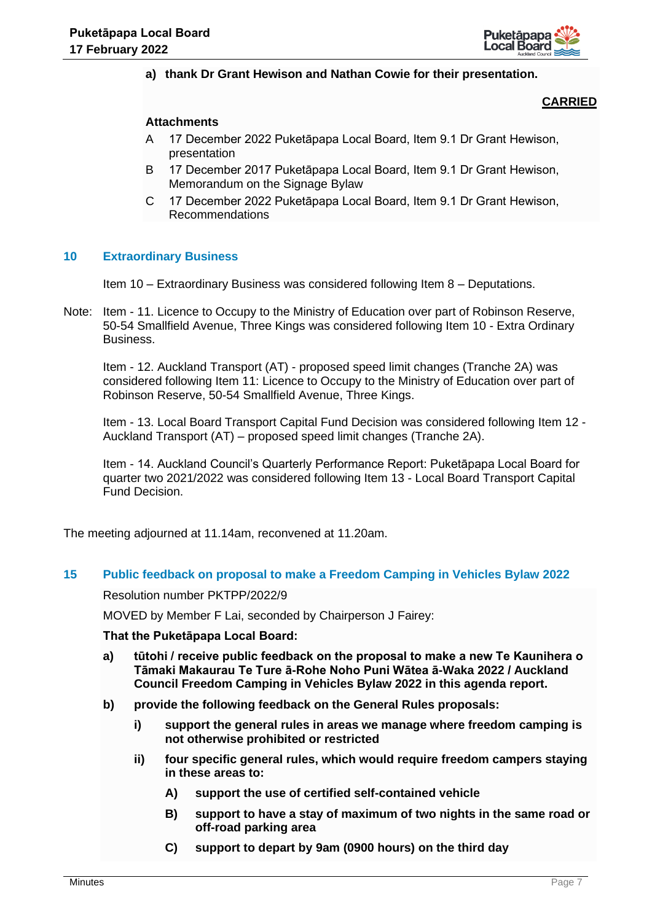

## **a) thank Dr Grant Hewison and Nathan Cowie for their presentation.**

## **CARRIED**

#### **Attachments**

- A 17 December 2022 Puketāpapa Local Board, Item 9.1 Dr Grant Hewison, presentation
- B 17 December 2017 Puketāpapa Local Board, Item 9.1 Dr Grant Hewison, Memorandum on the Signage Bylaw
- C 17 December 2022 Puketāpapa Local Board, Item 9.1 Dr Grant Hewison, Recommendations

#### **10 Extraordinary Business**

Item 10 – Extraordinary Business was considered following Item 8 – Deputations.

Note: Item - 11. Licence to Occupy to the Ministry of Education over part of Robinson Reserve, 50-54 Smallfield Avenue, Three Kings was considered following Item 10 - Extra Ordinary Business.

Item - 12. Auckland Transport (AT) - proposed speed limit changes (Tranche 2A) was considered following Item 11: Licence to Occupy to the Ministry of Education over part of Robinson Reserve, 50-54 Smallfield Avenue, Three Kings.

Item - 13. Local Board Transport Capital Fund Decision was considered following Item 12 - Auckland Transport (AT) – proposed speed limit changes (Tranche 2A).

Item - 14. Auckland Council's Quarterly Performance Report: Puketāpapa Local Board for quarter two 2021/2022 was considered following Item 13 - Local Board Transport Capital Fund Decision.

The meeting adjourned at 11.14am, reconvened at 11.20am.

#### **15 Public feedback on proposal to make a Freedom Camping in Vehicles Bylaw 2022**

Resolution number PKTPP/2022/9

MOVED by Member F Lai, seconded by Chairperson J Fairey:

- **a) tūtohi / receive public feedback on the proposal to make a new Te Kaunihera o Tāmaki Makaurau Te Ture ā-Rohe Noho Puni Wātea ā-Waka 2022 / Auckland Council Freedom Camping in Vehicles Bylaw 2022 in this agenda report.**
- **b) provide the following feedback on the General Rules proposals:**
	- **i) support the general rules in areas we manage where freedom camping is not otherwise prohibited or restricted**
	- **ii) four specific general rules, which would require freedom campers staying in these areas to:**
		- **A) support the use of certified self-contained vehicle**
		- **B) support to have a stay of maximum of two nights in the same road or off-road parking area**
		- **C) support to depart by 9am (0900 hours) on the third day**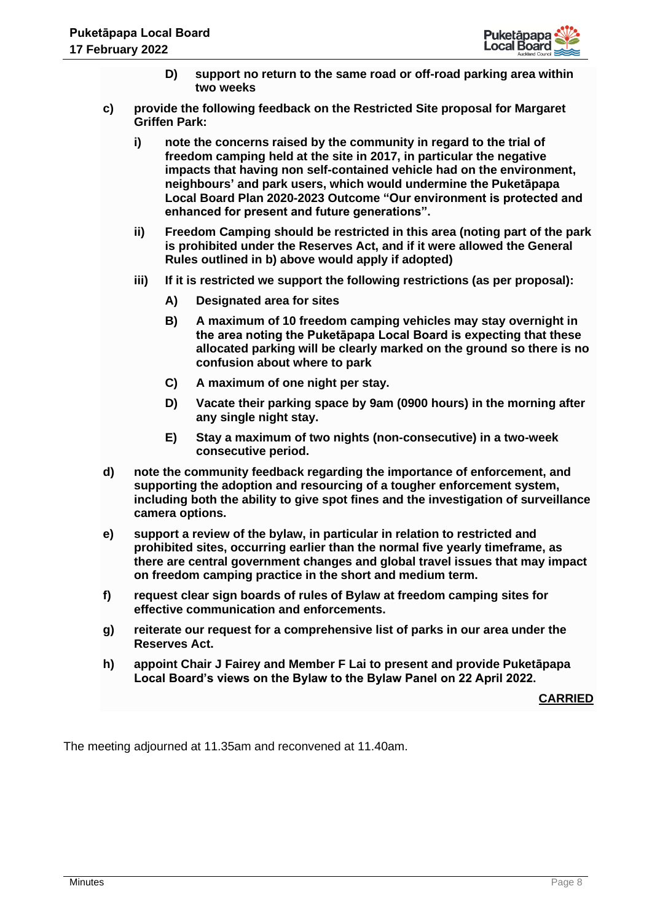

- **D) support no return to the same road or off-road parking area within two weeks**
- **c) provide the following feedback on the Restricted Site proposal for Margaret Griffen Park:**
	- **i) note the concerns raised by the community in regard to the trial of freedom camping held at the site in 2017, in particular the negative impacts that having non self-contained vehicle had on the environment, neighbours' and park users, which would undermine the Puketāpapa Local Board Plan 2020-2023 Outcome "Our environment is protected and enhanced for present and future generations".**
	- **ii) Freedom Camping should be restricted in this area (noting part of the park is prohibited under the Reserves Act, and if it were allowed the General Rules outlined in b) above would apply if adopted)**
	- **iii) If it is restricted we support the following restrictions (as per proposal):**
		- **A) Designated area for sites**
		- **B) A maximum of 10 freedom camping vehicles may stay overnight in the area noting the Puketāpapa Local Board is expecting that these allocated parking will be clearly marked on the ground so there is no confusion about where to park**
		- **C) A maximum of one night per stay.**
		- **D) Vacate their parking space by 9am (0900 hours) in the morning after any single night stay.**
		- **E) Stay a maximum of two nights (non-consecutive) in a two-week consecutive period.**
- **d) note the community feedback regarding the importance of enforcement, and supporting the adoption and resourcing of a tougher enforcement system, including both the ability to give spot fines and the investigation of surveillance camera options.**
- **e) support a review of the bylaw, in particular in relation to restricted and prohibited sites, occurring earlier than the normal five yearly timeframe, as there are central government changes and global travel issues that may impact on freedom camping practice in the short and medium term.**
- **f) request clear sign boards of rules of Bylaw at freedom camping sites for effective communication and enforcements.**
- **g) reiterate our request for a comprehensive list of parks in our area under the Reserves Act.**
- **h) appoint Chair J Fairey and Member F Lai to present and provide Puketāpapa Local Board's views on the Bylaw to the Bylaw Panel on 22 April 2022.**

**CARRIED**

The meeting adjourned at 11.35am and reconvened at 11.40am.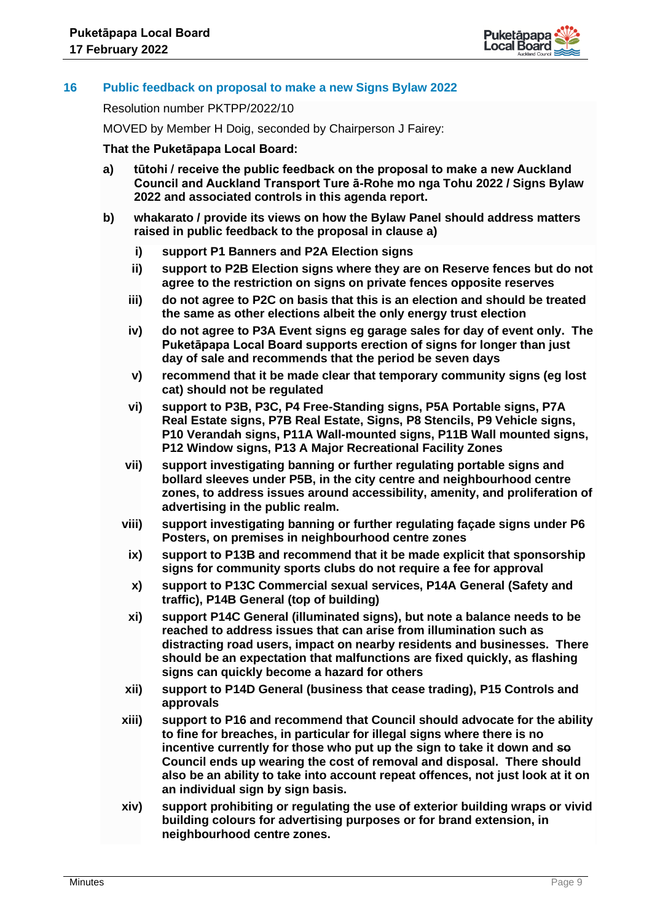

## **16 Public feedback on proposal to make a new Signs Bylaw 2022**

Resolution number PKTPP/2022/10

MOVED by Member H Doig, seconded by Chairperson J Fairey:

- **a) tūtohi / receive the public feedback on the proposal to make a new Auckland Council and Auckland Transport Ture ā-Rohe mo nga Tohu 2022 / Signs Bylaw 2022 and associated controls in this agenda report.**
- **b) whakarato / provide its views on how the Bylaw Panel should address matters raised in public feedback to the proposal in clause a)**
	- **i) support P1 Banners and P2A Election signs**
	- **ii) support to P2B Election signs where they are on Reserve fences but do not agree to the restriction on signs on private fences opposite reserves**
	- **iii) do not agree to P2C on basis that this is an election and should be treated the same as other elections albeit the only energy trust election**
	- **iv) do not agree to P3A Event signs eg garage sales for day of event only. The Puketāpapa Local Board supports erection of signs for longer than just day of sale and recommends that the period be seven days**
	- **v) recommend that it be made clear that temporary community signs (eg lost cat) should not be regulated**
	- **vi) support to P3B, P3C, P4 Free-Standing signs, P5A Portable signs, P7A Real Estate signs, P7B Real Estate, Signs, P8 Stencils, P9 Vehicle signs, P10 Verandah signs, P11A Wall-mounted signs, P11B Wall mounted signs, P12 Window signs, P13 A Major Recreational Facility Zones**
	- **vii) support investigating banning or further regulating portable signs and bollard sleeves under P5B, in the city centre and neighbourhood centre zones, to address issues around accessibility, amenity, and proliferation of advertising in the public realm.**
	- **viii) support investigating banning or further regulating façade signs under P6 Posters, on premises in neighbourhood centre zones**
		- **ix) support to P13B and recommend that it be made explicit that sponsorship signs for community sports clubs do not require a fee for approval**
		- **x) support to P13C Commercial sexual services, P14A General (Safety and traffic), P14B General (top of building)**
		- **xi) support P14C General (illuminated signs), but note a balance needs to be reached to address issues that can arise from illumination such as distracting road users, impact on nearby residents and businesses. There should be an expectation that malfunctions are fixed quickly, as flashing signs can quickly become a hazard for others**
	- **xii) support to P14D General (business that cease trading), P15 Controls and approvals**
	- **xiii) support to P16 and recommend that Council should advocate for the ability to fine for breaches, in particular for illegal signs where there is no incentive currently for those who put up the sign to take it down and so Council ends up wearing the cost of removal and disposal. There should also be an ability to take into account repeat offences, not just look at it on an individual sign by sign basis.**
	- **xiv) support prohibiting or regulating the use of exterior building wraps or vivid building colours for advertising purposes or for brand extension, in neighbourhood centre zones.**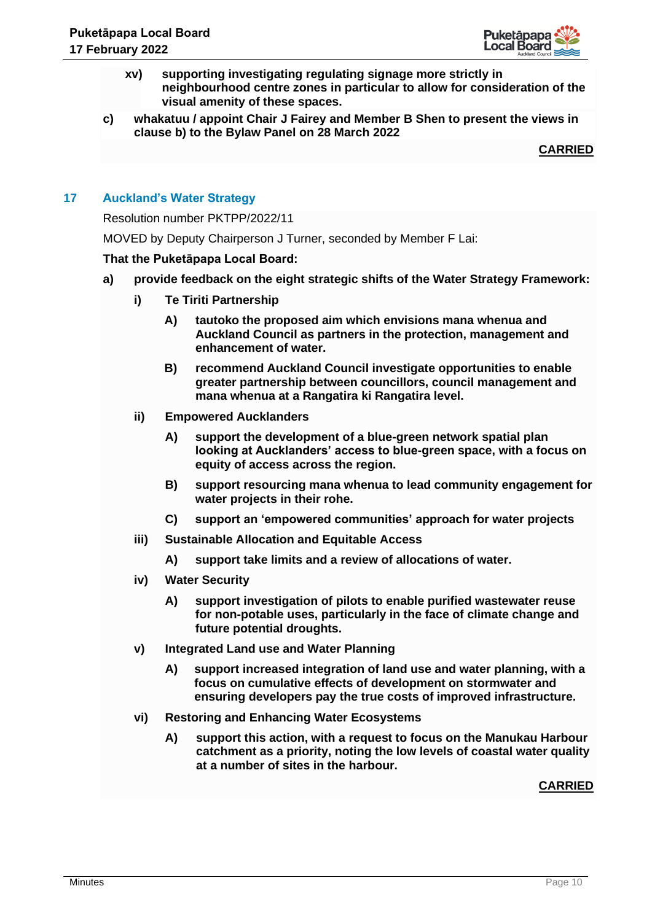

- **xv) supporting investigating regulating signage more strictly in neighbourhood centre zones in particular to allow for consideration of the visual amenity of these spaces.**
- **c) whakatuu / appoint Chair J Fairey and Member B Shen to present the views in clause b) to the Bylaw Panel on 28 March 2022**

**CARRIED**

## **17 Auckland's Water Strategy**

Resolution number PKTPP/2022/11

MOVED by Deputy Chairperson J Turner, seconded by Member F Lai:

## **That the Puketāpapa Local Board:**

- **a) provide feedback on the eight strategic shifts of the Water Strategy Framework:** 
	- **i) Te Tiriti Partnership** 
		- **A) tautoko the proposed aim which envisions mana whenua and Auckland Council as partners in the protection, management and enhancement of water.**
		- **B) recommend Auckland Council investigate opportunities to enable greater partnership between councillors, council management and mana whenua at a Rangatira ki Rangatira level.**
	- **ii) Empowered Aucklanders**
		- **A) support the development of a blue-green network spatial plan looking at Aucklanders' access to blue-green space, with a focus on equity of access across the region.**
		- **B) support resourcing mana whenua to lead community engagement for water projects in their rohe.**
		- **C) support an 'empowered communities' approach for water projects**
	- **iii) Sustainable Allocation and Equitable Access**
		- **A) support take limits and a review of allocations of water.**
	- **iv) Water Security**
		- **A) support investigation of pilots to enable purified wastewater reuse for non-potable uses, particularly in the face of climate change and future potential droughts.**
	- **v) Integrated Land use and Water Planning**
		- **A) support increased integration of land use and water planning, with a focus on cumulative effects of development on stormwater and ensuring developers pay the true costs of improved infrastructure.**
	- **vi) Restoring and Enhancing Water Ecosystems**
		- **A) support this action, with a request to focus on the Manukau Harbour catchment as a priority, noting the low levels of coastal water quality at a number of sites in the harbour.**

## **CARRIED**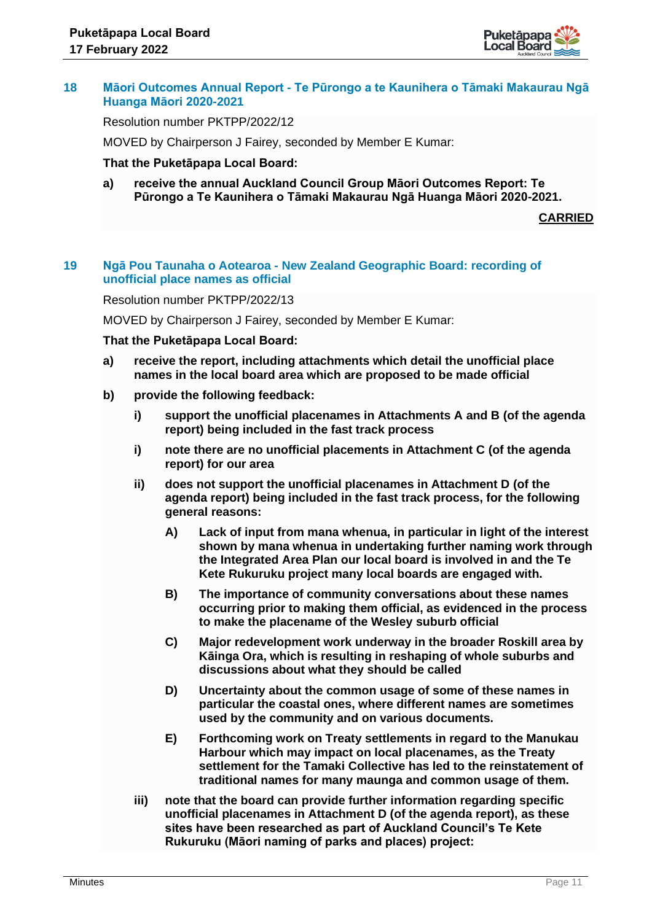

## **18 Māori Outcomes Annual Report - Te Pūrongo a te Kaunihera o Tāmaki Makaurau Ngā Huanga Māori 2020-2021**

Resolution number PKTPP/2022/12

MOVED by Chairperson J Fairey, seconded by Member E Kumar:

#### **That the Puketāpapa Local Board:**

**a) receive the annual Auckland Council Group Māori Outcomes Report: Te Pūrongo a Te Kaunihera o Tāmaki Makaurau Ngā Huanga Māori 2020-2021.**

**CARRIED**

## **19 Ngā Pou Taunaha o Aotearoa - New Zealand Geographic Board: recording of unofficial place names as official**

Resolution number PKTPP/2022/13

MOVED by Chairperson J Fairey, seconded by Member E Kumar:

- **a) receive the report, including attachments which detail the unofficial place names in the local board area which are proposed to be made official**
- **b) provide the following feedback:**
	- **i) support the unofficial placenames in Attachments A and B (of the agenda report) being included in the fast track process**
	- **i) note there are no unofficial placements in Attachment C (of the agenda report) for our area**
	- **ii) does not support the unofficial placenames in Attachment D (of the agenda report) being included in the fast track process, for the following general reasons:**
		- **A) Lack of input from mana whenua, in particular in light of the interest shown by mana whenua in undertaking further naming work through the Integrated Area Plan our local board is involved in and the Te Kete Rukuruku project many local boards are engaged with.**
		- **B) The importance of community conversations about these names occurring prior to making them official, as evidenced in the process to make the placename of the Wesley suburb official**
		- **C) Major redevelopment work underway in the broader Roskill area by Kāinga Ora, which is resulting in reshaping of whole suburbs and discussions about what they should be called**
		- **D) Uncertainty about the common usage of some of these names in particular the coastal ones, where different names are sometimes used by the community and on various documents.**
		- **E) Forthcoming work on Treaty settlements in regard to the Manukau Harbour which may impact on local placenames, as the Treaty settlement for the Tamaki Collective has led to the reinstatement of traditional names for many maunga and common usage of them.**
	- **iii) note that the board can provide further information regarding specific unofficial placenames in Attachment D (of the agenda report), as these sites have been researched as part of Auckland Council's Te Kete Rukuruku (Māori naming of parks and places) project:**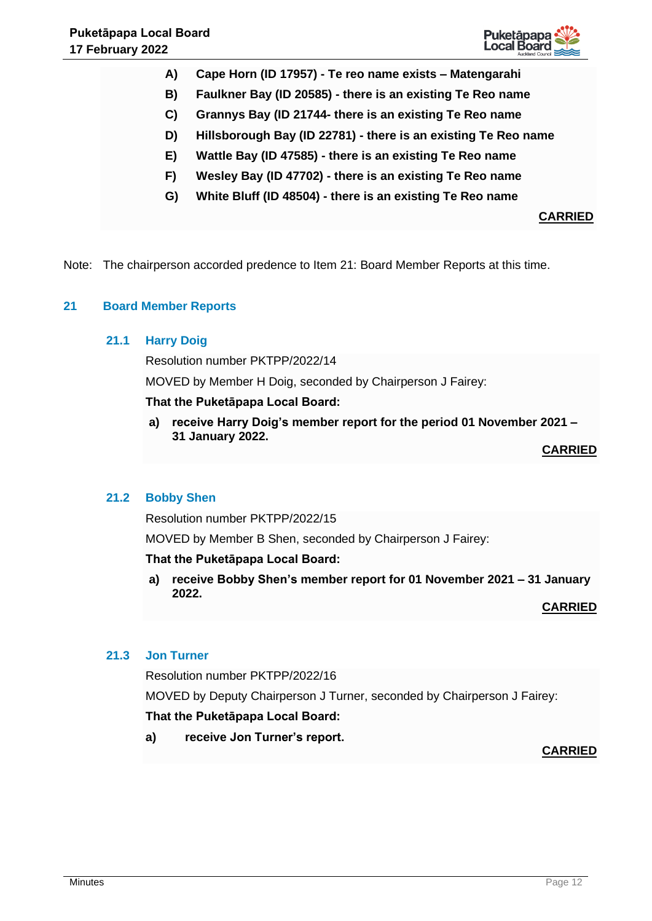

- **A) Cape Horn (ID 17957) - Te reo name exists – Matengarahi**
- **B) Faulkner Bay (ID 20585) - there is an existing Te Reo name**
- **C) Grannys Bay (ID 21744- there is an existing Te Reo name**
- **D) Hillsborough Bay (ID 22781) - there is an existing Te Reo name**
- **E) Wattle Bay (ID 47585) - there is an existing Te Reo name**
- **F) Wesley Bay (ID 47702) - there is an existing Te Reo name**
- **G) White Bluff (ID 48504) - there is an existing Te Reo name**

# **CARRIED**

Note: The chairperson accorded predence to Item 21: Board Member Reports at this time.

## **21 Board Member Reports**

## **21.1 Harry Doig**

Resolution number PKTPP/2022/14

MOVED by Member H Doig, seconded by Chairperson J Fairey:

## **That the Puketāpapa Local Board:**

**a) receive Harry Doig's member report for the period 01 November 2021 – 31 January 2022.**

**CARRIED**

## **21.2 Bobby Shen**

Resolution number PKTPP/2022/15

MOVED by Member B Shen, seconded by Chairperson J Fairey:

## **That the Puketāpapa Local Board:**

**a) receive Bobby Shen's member report for 01 November 2021 – 31 January 2022.**

**CARRIED**

# **21.3 Jon Turner**

Resolution number PKTPP/2022/16

MOVED by Deputy Chairperson J Turner, seconded by Chairperson J Fairey:

## **That the Puketāpapa Local Board:**

**a) receive Jon Turner's report.**

**CARRIED**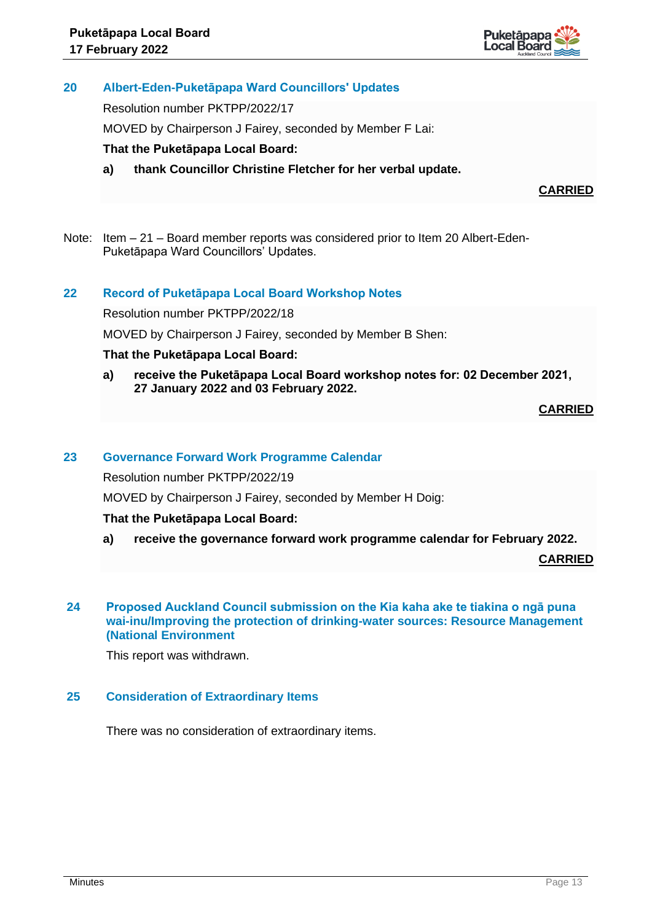

## **20 Albert-Eden-Puketāpapa Ward Councillors' Updates**

Resolution number PKTPP/2022/17

MOVED by Chairperson J Fairey, seconded by Member F Lai:

## **That the Puketāpapa Local Board:**

**a) thank Councillor Christine Fletcher for her verbal update.**

**CARRIED**

Note: Item – 21 – Board member reports was considered prior to Item 20 Albert-Eden-Puketāpapa Ward Councillors' Updates.

## **22 Record of Puketāpapa Local Board Workshop Notes**

Resolution number PKTPP/2022/18

MOVED by Chairperson J Fairey, seconded by Member B Shen:

## **That the Puketāpapa Local Board:**

**a) receive the Puketāpapa Local Board workshop notes for: 02 December 2021, 27 January 2022 and 03 February 2022.**

**CARRIED**

#### **23 Governance Forward Work Programme Calendar**

Resolution number PKTPP/2022/19

MOVED by Chairperson J Fairey, seconded by Member H Doig:

#### **That the Puketāpapa Local Board:**

**a) receive the governance forward work programme calendar for February 2022.**

**CARRIED**

#### **24 Proposed Auckland Council submission on the Kia kaha ake te tiakina o ngā puna wai-inu/Improving the protection of drinking-water sources: Resource Management (National Environment**

This report was withdrawn.

## **25 Consideration of Extraordinary Items**

There was no consideration of extraordinary items.